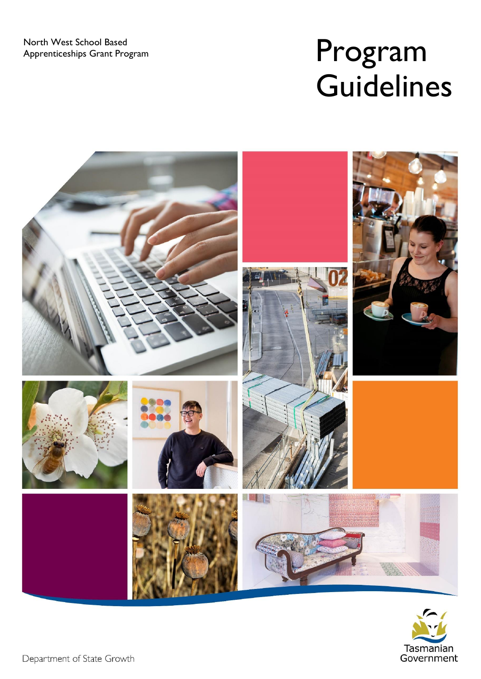# Program **Guidelines**



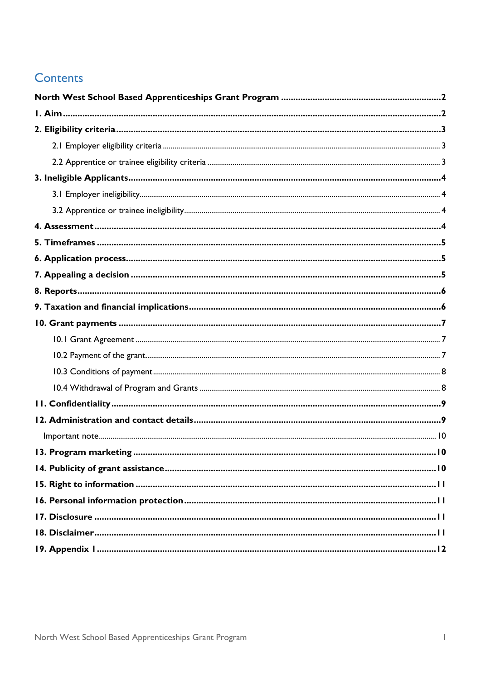### Contents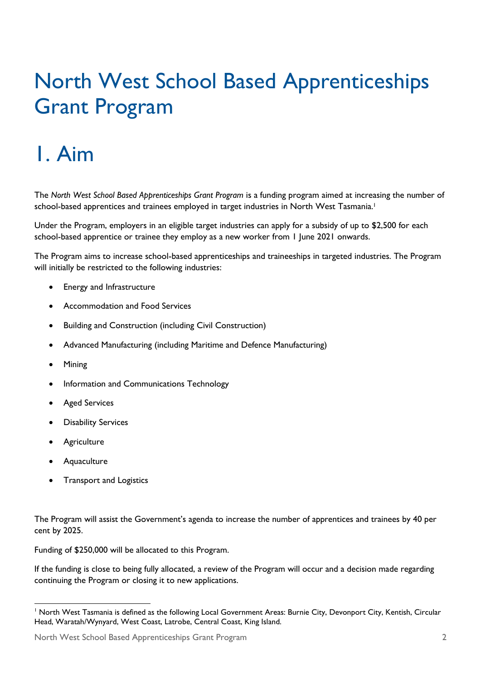## <span id="page-3-0"></span>North West School Based Apprenticeships Grant Program

## <span id="page-3-1"></span>1. Aim

The *North West School Based Apprenticeships Grant Program* is a funding program aimed at increasing the number of school-based apprentices and trainees employed in target industries in North West Tasmania.<sup>1</sup>

Under the Program, employers in an eligible target industries can apply for a subsidy of up to \$2,500 for each school-based apprentice or trainee they employ as a new worker from 1 June 2021 onwards.

The Program aims to increase school-based apprenticeships and traineeships in targeted industries. The Program will initially be restricted to the following industries:

- Energy and Infrastructure
- Accommodation and Food Services
- Building and Construction (including Civil Construction)
- Advanced Manufacturing (including Maritime and Defence Manufacturing)
- Mining
- Information and Communications Technology
- **Aged Services**
- Disability Services
- **Agriculture**
- Aquaculture
- Transport and Logistics

The Program will assist the Government's agenda to increase the number of apprentices and trainees by 40 per cent by 2025.

Funding of \$250,000 will be allocated to this Program.

If the funding is close to being fully allocated, a review of the Program will occur and a decision made regarding continuing the Program or closing it to new applications.

<sup>&</sup>lt;sup>1</sup> North West Tasmania is defined as the following Local Government Areas: Burnie City, Devonport City, Kentish, Circular Head, Waratah/Wynyard, West Coast, Latrobe, Central Coast, King Island.

North West School Based Apprenticeships Grant Program 2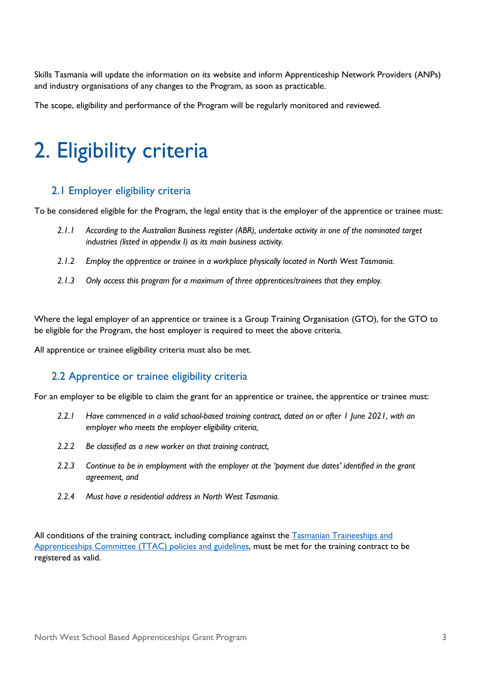Skills Tasmania will update the information on its website and inform Apprenticeship Network Providers (ANPs) and industry organisations of any changes to the Program, as soon as practicable.

The scope, eligibility and performance of the Program will be regularly monitored and reviewed.

## <span id="page-4-0"></span>2. Eligibility criteria

#### <span id="page-4-1"></span>2.1 Employer eligibility criteria

To be considered eligible for the Program, the legal entity that is the employer of the apprentice or trainee must:

- *2.1.1 According to the Australian Business register (ABR), undertake activity in one of the nominated target industries (listed in appendix I) as its main business activity.*
- *2.1.2 Employ the apprentice or trainee in a workplace physically located in North West Tasmania.*
- *2.1.3 Only access this program for a maximum of three apprentices/trainees that they employ.*

Where the legal employer of an apprentice or trainee is a Group Training Organisation (GTO), for the GTO to be eligible for the Program, the host employer is required to meet the above criteria.

<span id="page-4-2"></span>All apprentice or trainee eligibility criteria must also be met.

#### 2.2 Apprentice or trainee eligibility criteria

For an employer to be eligible to claim the grant for an apprentice or trainee, the apprentice or trainee must:

- *2.2.1 Have commenced in a valid school-based training contract, dated on or after 1 June 2021, with an employer who meets the employer eligibility criteria,*
- *2.2.2 Be classified as a new worker on that training contract,*
- *2.2.3 Continue to be in employment with the employer at the 'payment due dates' identified in the grant agreement, and*
- *2.2.4 Must have a residential address in North West Tasmania.*

All conditions of the training contract, including compliance against the [Tasmanian Traineeships and](https://www.skills.tas.gov.au/about/vet_system/tasmanian_traineeships_and_apprenticeships_committee)  [Apprenticeships Committee \(TTAC\)](https://www.skills.tas.gov.au/about/vet_system/tasmanian_traineeships_and_apprenticeships_committee) policies and guidelines, must be met for the training contract to be registered as valid.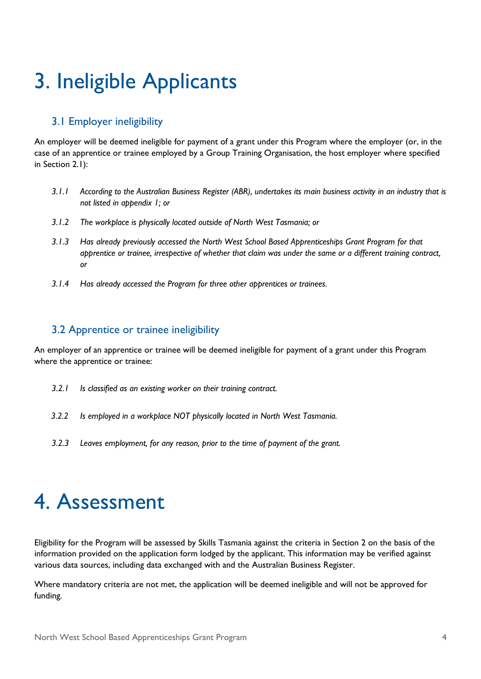## <span id="page-5-0"></span>3. Ineligible Applicants

#### <span id="page-5-1"></span>3.1 Employer ineligibility

An employer will be deemed ineligible for payment of a grant under this Program where the employer (or, in the case of an apprentice or trainee employed by a Group Training Organisation, the host employer where specified in Section 2.1):

- *3.1.1 According to the Australian Business Register (ABR), undertakes its main business activity in an industry that is not listed in appendix 1; or*
- *3.1.2 The workplace is physically located outside of North West Tasmania; or*
- *3.1.3 Has already previously accessed the North West School Based Apprenticeships Grant Program for that apprentice or trainee, irrespective of whether that claim was under the same or a different training contract, or*
- *3.1.4 Has already accessed the Program for three other apprentices or trainees.*

#### <span id="page-5-2"></span>3.2 Apprentice or trainee ineligibility

An employer of an apprentice or trainee will be deemed ineligible for payment of a grant under this Program where the apprentice or trainee:

- *3.2.1 Is classified as an existing worker on their training contract.*
- *3.2.2 Is employed in a workplace NOT physically located in North West Tasmania.*
- *3.2.3 Leaves employment, for any reason, prior to the time of payment of the grant.*

### <span id="page-5-3"></span>4. Assessment

Eligibility for the Program will be assessed by Skills Tasmania against the criteria in Section 2 on the basis of the information provided on the application form lodged by the applicant. This information may be verified against various data sources, including data exchanged with and the Australian Business Register.

Where mandatory criteria are not met, the application will be deemed ineligible and will not be approved for funding.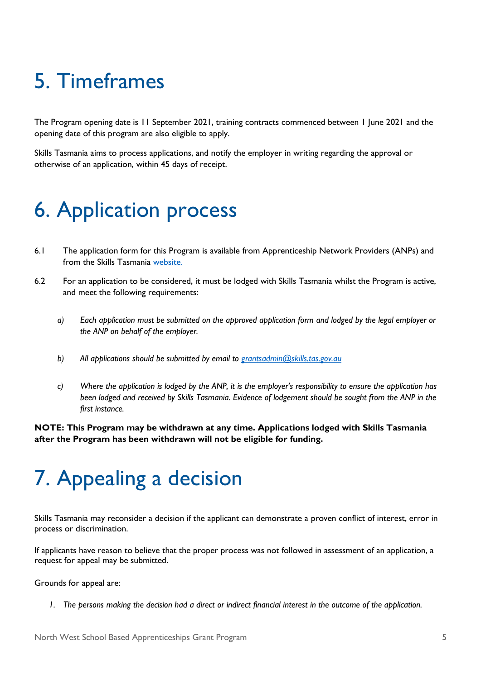## <span id="page-6-0"></span>5. Timeframes

The Program opening date is 11 September 2021, training contracts commenced between 1 June 2021 and the opening date of this program are also eligible to apply.

Skills Tasmania aims to process applications, and notify the employer in writing regarding the approval or otherwise of an application, within 45 days of receipt.

## <span id="page-6-1"></span>6. Application process

- 6.1 The application form for this Program is available from [Apprenticeship Network Providers \(ANPs\)](https://www.skills.tas.gov.au/providers/apprenticeship_network_providers) and from the [Skills Tasmania](https://www.skills.tas.gov.au/funding) [website.](https://www.skills.tas.gov.au/about/current_projects/north_west_job_ready_generation_package)
- 6.2 For an application to be considered, it must be lodged with Skills Tasmania whilst the Program is active, and meet the following requirements:
	- *a) Each application must be submitted on the approved application form and lodged by the legal employer or the ANP on behalf of the employer.*
	- *b) All applications should be submitted by email to [grantsadmin@skills.tas.gov.au](mailto:grantsadmin@skills.tas.gov.au)*
	- *c) Where the application is lodged by the ANP, it is the employer's responsibility to ensure the application has been lodged and received by Skills Tasmania. Evidence of lodgement should be sought from the ANP in the first instance.*

**NOTE: This Program may be withdrawn at any time. Applications lodged with Skills Tasmania after the Program has been withdrawn will not be eligible for funding.**

### <span id="page-6-2"></span>7. Appealing a decision

Skills Tasmania may reconsider a decision if the applicant can demonstrate a proven conflict of interest, error in process or discrimination.

If applicants have reason to believe that the proper process was not followed in assessment of an application, a request for appeal may be submitted.

Grounds for appeal are:

*1. The persons making the decision had a direct or indirect financial interest in the outcome of the application.*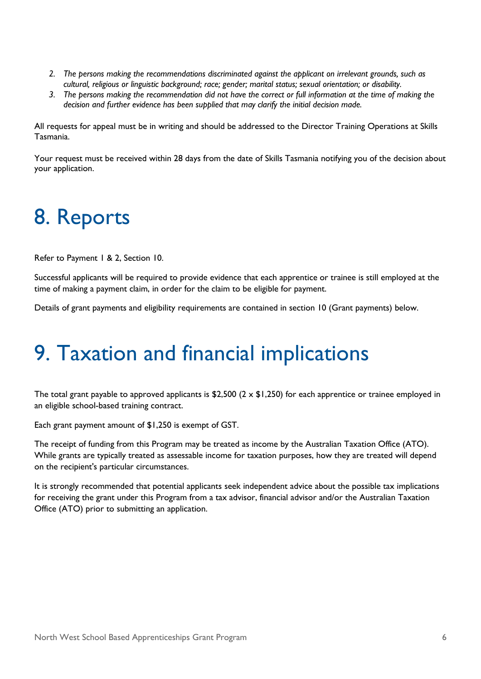- *2. The persons making the recommendations discriminated against the applicant on irrelevant grounds, such as cultural, religious or linguistic background; race; gender; marital status; sexual orientation; or disability.*
- *3. The persons making the recommendation did not have the correct or full information at the time of making the decision and further evidence has been supplied that may clarify the initial decision made.*

All requests for appeal must be in writing and should be addressed to the Director Training Operations at Skills Tasmania.

Your request must be received within 28 days from the date of Skills Tasmania notifying you of the decision about your application.

## <span id="page-7-0"></span>8. Reports

Refer to Payment 1 & 2, Section 10.

Successful applicants will be required to provide evidence that each apprentice or trainee is still employed at the time of making a payment claim, in order for the claim to be eligible for payment.

Details of grant payments and eligibility requirements are contained in section 10 (Grant payments) below.

### <span id="page-7-1"></span>9. Taxation and financial implications

The total grant payable to approved applicants is \$2,500 ( $2 \times$  \$1,250) for each apprentice or trainee employed in an eligible school-based training contract.

Each grant payment amount of \$1,250 is exempt of GST.

The receipt of funding from this Program may be treated as income by the Australian Taxation Office (ATO). While grants are typically treated as assessable income for taxation purposes, how they are treated will depend on the recipient's particular circumstances.

It is strongly recommended that potential applicants seek independent advice about the possible tax implications for receiving the grant under this Program from a tax advisor, financial advisor and/or the Australian Taxation Office (ATO) prior to submitting an application.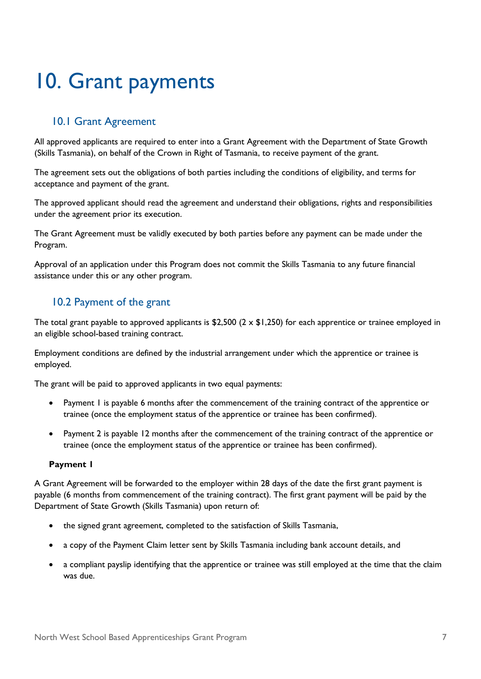## <span id="page-8-0"></span>10. Grant payments

#### <span id="page-8-1"></span>10.1 Grant Agreement

All approved applicants are required to enter into a Grant Agreement with the Department of State Growth (Skills Tasmania), on behalf of the Crown in Right of Tasmania, to receive payment of the grant.

The agreement sets out the obligations of both parties including the conditions of eligibility, and terms for acceptance and payment of the grant.

The approved applicant should read the agreement and understand their obligations, rights and responsibilities under the agreement prior its execution.

The Grant Agreement must be validly executed by both parties before any payment can be made under the Program.

Approval of an application under this Program does not commit the Skills Tasmania to any future financial assistance under this or any other program.

#### <span id="page-8-2"></span>10.2 Payment of the grant

The total grant payable to approved applicants is \$2,500 ( $2 \times$  \$1,250) for each apprentice or trainee employed in an eligible school-based training contract.

Employment conditions are defined by the industrial arrangement under which the apprentice or trainee is employed.

The grant will be paid to approved applicants in two equal payments:

- Payment 1 is payable 6 months after the commencement of the training contract of the apprentice or trainee (once the employment status of the apprentice or trainee has been confirmed).
- Payment 2 is payable 12 months after the commencement of the training contract of the apprentice or trainee (once the employment status of the apprentice or trainee has been confirmed).

#### **Payment 1**

A Grant Agreement will be forwarded to the employer within 28 days of the date the first grant payment is payable (6 months from commencement of the training contract). The first grant payment will be paid by the Department of State Growth (Skills Tasmania) upon return of:

- the signed grant agreement, completed to the satisfaction of Skills Tasmania,
- a copy of the Payment Claim letter sent by Skills Tasmania including bank account details, and
- a compliant payslip identifying that the apprentice or trainee was still employed at the time that the claim was due.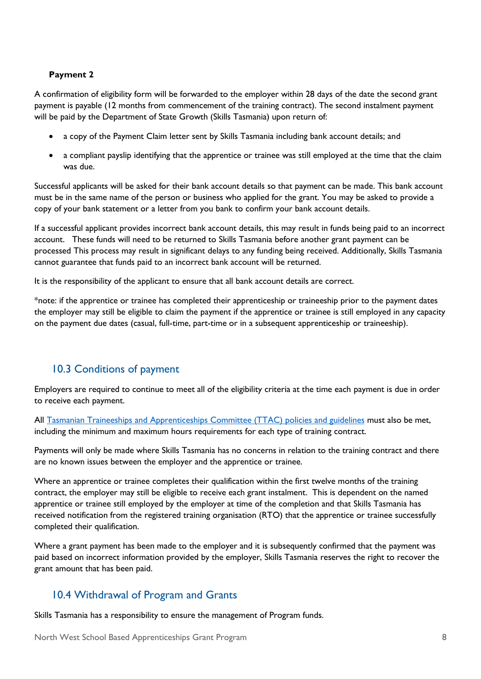#### **Payment 2**

A confirmation of eligibility form will be forwarded to the employer within 28 days of the date the second grant payment is payable (12 months from commencement of the training contract). The second instalment payment will be paid by the Department of State Growth (Skills Tasmania) upon return of:

- a copy of the Payment Claim letter sent by Skills Tasmania including bank account details; and
- a compliant payslip identifying that the apprentice or trainee was still employed at the time that the claim was due.

Successful applicants will be asked for their bank account details so that payment can be made. This bank account must be in the same name of the person or business who applied for the grant. You may be asked to provide a copy of your bank statement or a letter from you bank to confirm your bank account details.

If a successful applicant provides incorrect bank account details, this may result in funds being paid to an incorrect account. These funds will need to be returned to Skills Tasmania before another grant payment can be processed This process may result in significant delays to any funding being received. Additionally, Skills Tasmania cannot guarantee that funds paid to an incorrect bank account will be returned.

It is the responsibility of the applicant to ensure that all bank account details are correct.

\*note: if the apprentice or trainee has completed their apprenticeship or traineeship prior to the payment dates the employer may still be eligible to claim the payment if the apprentice or trainee is still employed in any capacity on the payment due dates (casual, full-time, part-time or in a subsequent apprenticeship or traineeship).

#### <span id="page-9-0"></span>10.3 Conditions of payment

Employers are required to continue to meet all of the eligibility criteria at the time each payment is due in order to receive each payment.

All [Tasmanian Traineeships and Apprenticeships Committee \(TTAC\) policies and guidelines](https://www.skills.tas.gov.au/__data/assets/pdf_file/0009/275805/TTAC_Policies_and_Guidelines_-_2021_February.pdf) must also be met, including the minimum and maximum hours requirements for each type of training contract.

Payments will only be made where Skills Tasmania has no concerns in relation to the training contract and there are no known issues between the employer and the apprentice or trainee.

Where an apprentice or trainee completes their qualification within the first twelve months of the training contract, the employer may still be eligible to receive each grant instalment. This is dependent on the named apprentice or trainee still employed by the employer at time of the completion and that Skills Tasmania has received notification from the registered training organisation (RTO) that the apprentice or trainee successfully completed their qualification.

Where a grant payment has been made to the employer and it is subsequently confirmed that the payment was paid based on incorrect information provided by the employer, Skills Tasmania reserves the right to recover the grant amount that has been paid.

#### <span id="page-9-1"></span>10.4 Withdrawal of Program and Grants

Skills Tasmania has a responsibility to ensure the management of Program funds.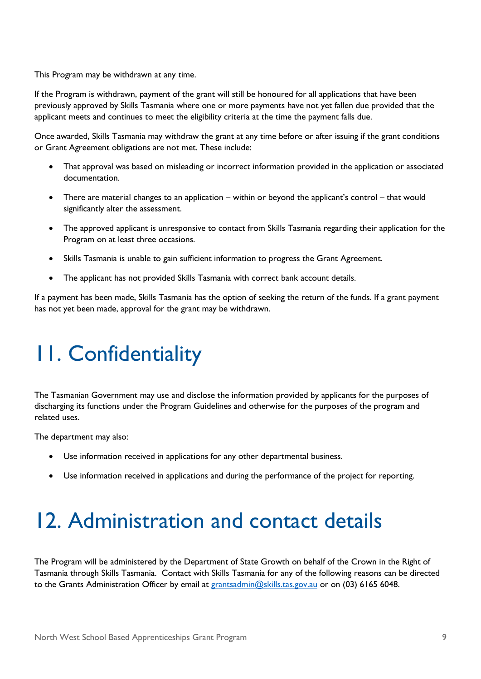This Program may be withdrawn at any time.

If the Program is withdrawn, payment of the grant will still be honoured for all applications that have been previously approved by Skills Tasmania where one or more payments have not yet fallen due provided that the applicant meets and continues to meet the eligibility criteria at the time the payment falls due.

Once awarded, Skills Tasmania may withdraw the grant at any time before or after issuing if the grant conditions or Grant Agreement obligations are not met. These include:

- That approval was based on misleading or incorrect information provided in the application or associated documentation.
- There are material changes to an application within or beyond the applicant's control that would significantly alter the assessment.
- The approved applicant is unresponsive to contact from Skills Tasmania regarding their application for the Program on at least three occasions.
- Skills Tasmania is unable to gain sufficient information to progress the Grant Agreement.
- The applicant has not provided Skills Tasmania with correct bank account details.

If a payment has been made, Skills Tasmania has the option of seeking the return of the funds. If a grant payment has not yet been made, approval for the grant may be withdrawn.

## <span id="page-10-0"></span>11. Confidentiality

The Tasmanian Government may use and disclose the information provided by applicants for the purposes of discharging its functions under the Program Guidelines and otherwise for the purposes of the program and related uses.

The department may also:

- Use information received in applications for any other departmental business.
- Use information received in applications and during the performance of the project for reporting.

### <span id="page-10-1"></span>12. Administration and contact details

The Program will be administered by the Department of State Growth on behalf of the Crown in the Right of Tasmania through Skills Tasmania. Contact with Skills Tasmania for any of the following reasons can be directed to the Grants Administration Officer by email at [grantsadmin@skills.tas.gov.au](mailto:grantsadmin@skills.tas.gov.au) or on (03) 6165 6048.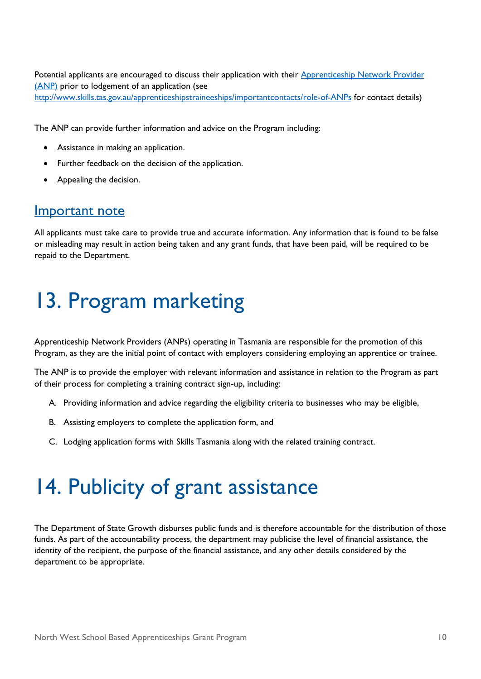Potential applicants are encouraged to discuss their application with their Apprenticeship Network Provider (ANP) prior to lodgement of an application (see <http://www.skills.tas.gov.au/apprenticeshipstraineeships/importantcontacts/role-of-ANPs> for contact details)

The ANP can provide further information and advice on the Program including:

- Assistance in making an application.
- Further feedback on the decision of the application.
- Appealing the decision.

### <span id="page-11-0"></span>Important note

All applicants must take care to provide true and accurate information. Any information that is found to be false or misleading may result in action being taken and any grant funds, that have been paid, will be required to be repaid to the Department.

## <span id="page-11-1"></span>13. Program marketing

Apprenticeship Network Providers (ANPs) operating in Tasmania are responsible for the promotion of this Program, as they are the initial point of contact with employers considering employing an apprentice or trainee.

The ANP is to provide the employer with relevant information and assistance in relation to the Program as part of their process for completing a training contract sign-up, including:

- A. Providing information and advice regarding the eligibility criteria to businesses who may be eligible,
- B. Assisting employers to complete the application form, and
- C. Lodging application forms with Skills Tasmania along with the related training contract.

### <span id="page-11-2"></span>14. Publicity of grant assistance

The Department of State Growth disburses public funds and is therefore accountable for the distribution of those funds. As part of the accountability process, the department may publicise the level of financial assistance, the identity of the recipient, the purpose of the financial assistance, and any other details considered by the department to be appropriate.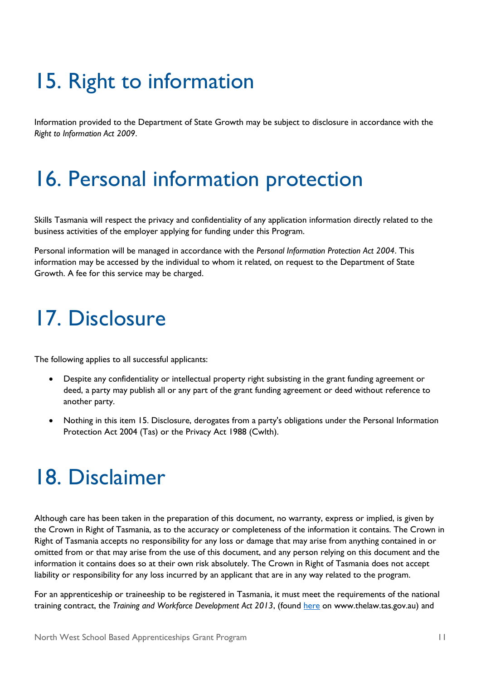## <span id="page-12-0"></span>15. Right to information

Information provided to the Department of State Growth may be subject to disclosure in accordance with the *Right to Information Act 2009*.

### <span id="page-12-1"></span>16. Personal information protection

Skills Tasmania will respect the privacy and confidentiality of any application information directly related to the business activities of the employer applying for funding under this Program.

Personal information will be managed in accordance with the *Personal Information Protection Act 2004*. This information may be accessed by the individual to whom it related, on request to the Department of State Growth. A fee for this service may be charged.

### <span id="page-12-2"></span>17. Disclosure

The following applies to all successful applicants:

- Despite any confidentiality or intellectual property right subsisting in the grant funding agreement or deed, a party may publish all or any part of the grant funding agreement or deed without reference to another party.
- Nothing in this item 15. Disclosure, derogates from a party's obligations under the Personal Information Protection Act 2004 (Tas) or the Privacy Act 1988 (Cwlth).

### <span id="page-12-3"></span>18. Disclaimer

Although care has been taken in the preparation of this document, no warranty, express or implied, is given by the Crown in Right of Tasmania, as to the accuracy or completeness of the information it contains. The Crown in Right of Tasmania accepts no responsibility for any loss or damage that may arise from anything contained in or omitted from or that may arise from the use of this document, and any person relying on this document and the information it contains does so at their own risk absolutely. The Crown in Right of Tasmania does not accept liability or responsibility for any loss incurred by an applicant that are in any way related to the program.

For an apprenticeship or traineeship to be registered in Tasmania, it must meet the requirements of the national training contract, the *Training and Workforce Development Act 2013*, (found [here](http://www.thelaw.tas.gov.au/tocview/index.w3p;cond=all;doc_id=9++2013+AT@EN+SESSIONAL;histon=;prompt=;rec=;term=training%20and%20workforce) on www.thelaw.tas.gov.au) and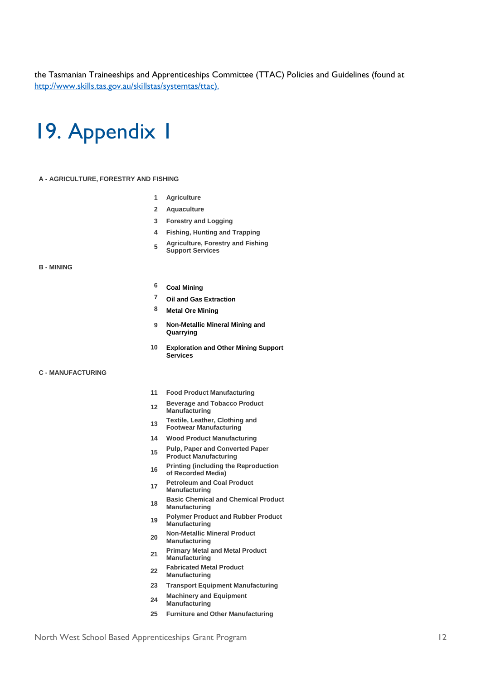the Tasmanian Traineeships and Apprenticeships Committee (TTAC) Policies and Guidelines (found at [http://www.skills.tas.gov.au/skillstas/systemtas/ttac\)](http://www.skills.tas.gov.au/skillstas/systemtas/ttac).

### <span id="page-13-0"></span>19. Appendix 1

#### **A - AGRICULTURE, FORESTRY AND FISHING**

- **1 Agriculture**
- **2 Aquaculture**
- **3 Forestry and Logging**
- **4 Fishing, Hunting and Trapping**
- **5 Agriculture, Forestry and Fishing Support Services**

#### **B - MINING**

- **6 Coal Mining**
- **7 Oil and Gas Extraction**
- **8 Metal Ore Mining**
- **9 Non-Metallic Mineral Mining and Quarrying**
- **10 Exploration and Other Mining Support Services**

#### **C - MANUFACTURING**

- **11 Food Product Manufacturing**
- **<sup>12</sup> Beverage and Tobacco Product Manufacturing**
- **<sup>13</sup> Textile, Leather, Clothing and Footwear Manufacturing**
- 
- **14 Wood Product Manufacturing**
- **<sup>15</sup> Pulp, Paper and Converted Paper Product Manufacturing**
- **<sup>16</sup> Printing (including the Reproduction of Recorded Media)**
- **<sup>17</sup> Petroleum and Coal Product Manufacturing**
- **<sup>18</sup> Basic Chemical and Chemical Product Manufacturing**
- **<sup>19</sup> Polymer Product and Rubber Product Manufacturing**
- **<sup>20</sup> Non-Metallic Mineral Product Manufacturing**
- **<sup>21</sup> Primary Metal and Metal Product Manufacturing**
- **<sup>22</sup> Fabricated Metal Product**
- **Manufacturing**
- **23 Transport Equipment Manufacturing**
- **<sup>24</sup> Machinery and Equipment**
- **Manufacturing**
- **25 Furniture and Other Manufacturing**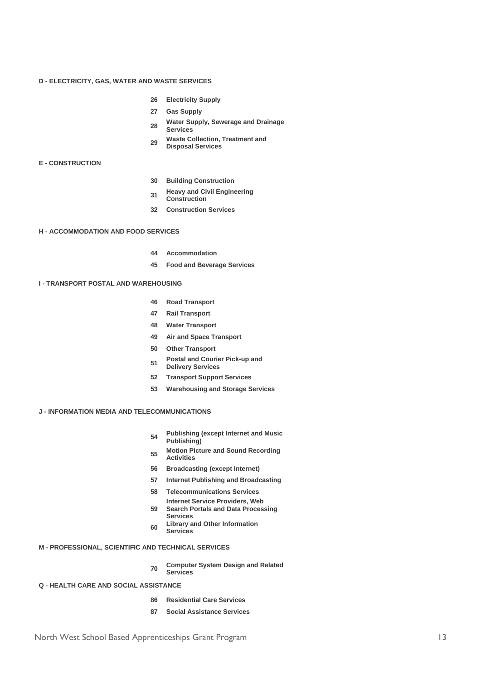#### **D - ELECTRICITY, GAS, WATER AND WASTE SERVICES**

- **26 Electricity Supply**
- **27 Gas Supply**
- **<sup>28</sup> Water Supply, Sewerage and Drainage Services**
- **<sup>29</sup> Waste Collection, Treatment and Disposal Services**

#### **E - CONSTRUCTION**

- **30 Building Construction**
- **<sup>31</sup> Heavy and Civil Engineering**
- **Construction**
- **32 Construction Services**

#### **H - ACCOMMODATION AND FOOD SERVICES**

- **44 Accommodation**
- **45 Food and Beverage Services**

#### **I - TRANSPORT POSTAL AND WAREHOUSING**

- **46 Road Transport**
- **47 Rail Transport**
- **48 Water Transport**
- **49 Air and Space Transport**
- **50 Other Transport**
- **<sup>51</sup> Postal and Courier Pick-up and Delivery Services**
- **52 Transport Support Services**
- **53 Warehousing and Storage Services**

#### **J - INFORMATION MEDIA AND TELECOMMUNICATIONS**

- **<sup>54</sup> Publishing (except Internet and Music Publishing)**
- **<sup>55</sup> Motion Picture and Sound Recording Activities**
- **56 Broadcasting (except Internet)**
- **57 Internet Publishing and Broadcasting**
- **58 Telecommunications Services**
- **59 Internet Service Providers, Web Search Portals and Data Processing**
- **Services <sup>60</sup> Library and Other Information** 
	- **Services**

#### **M - PROFESSIONAL, SCIENTIFIC AND TECHNICAL SERVICES**

**<sup>70</sup> Computer System Design and Related Services**

#### **Q - HEALTH CARE AND SOCIAL ASSISTANCE**

- **86 Residential Care Services**
- **87 Social Assistance Services**